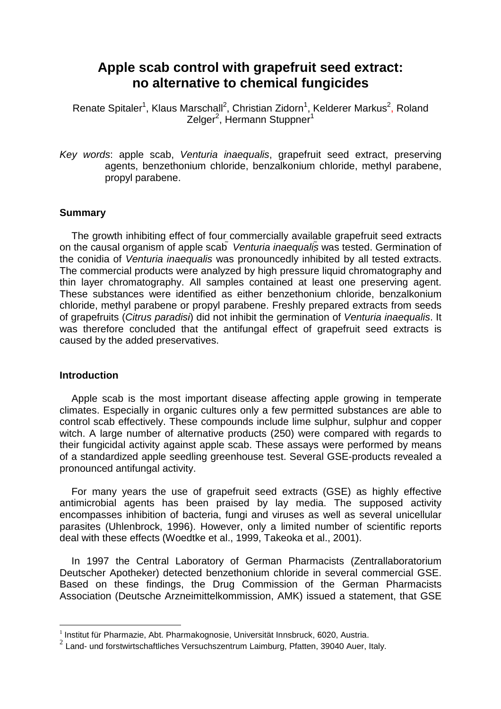# **Apple scab control with grapefruit seed extract: no alternative to chemical fungicides**

Renate Spitaler<sup>1</sup>, Klaus Marschall<sup>2</sup>, Christian Zidorn<sup>1</sup>, Kelderer Markus<sup>2</sup>, Roland Zelger<sup>2</sup>, Hermann Stuppner<sup>1</sup>

Key words: apple scab, Venturia inaequalis, grapefruit seed extract, preserving agents, benzethonium chloride, benzalkonium chloride, methyl parabene, propyl parabene.

# **Summary**

The growth inhibiting effect of four commercially available grapefruit seed extracts on the causal organism of apple scab Venturia inaequalis was tested. Germination of the conidia of Venturia inaequalis was pronouncedly inhibited by all tested extracts. The commercial products were analyzed by high pressure liquid chromatography and thin layer chromatography. All samples contained at least one preserving agent. These substances were identified as either benzethonium chloride, benzalkonium chloride, methyl parabene or propyl parabene. Freshly prepared extracts from seeds of grapefruits (Citrus paradisi) did not inhibit the germination of Venturia inaequalis. It was therefore concluded that the antifungal effect of grapefruit seed extracts is caused by the added preservatives.

# **Introduction**

Apple scab is the most important disease affecting apple growing in temperate climates. Especially in organic cultures only a few permitted substances are able to control scab effectively. These compounds include lime sulphur, sulphur and copper witch. A large number of alternative products (250) were compared with regards to their fungicidal activity against apple scab. These assays were performed by means of a standardized apple seedling greenhouse test. Several GSE-products revealed a pronounced antifungal activity.

For many years the use of grapefruit seed extracts (GSE) as highly effective antimicrobial agents has been praised by lay media. The supposed activity encompasses inhibition of bacteria, fungi and viruses as well as several unicellular parasites (Uhlenbrock, 1996). However, only a limited number of scientific reports deal with these effects (Woedtke et al., 1999, Takeoka et al., 2001).

In 1997 the Central Laboratory of German Pharmacists (Zentrallaboratorium Deutscher Apotheker) detected benzethonium chloride in several commercial GSE. Based on these findings, the Drug Commission of the German Pharmacists Association (Deutsche Arzneimittelkommission, AMK) issued a statement, that GSE

 1 Institut für Pharmazie, Abt. Pharmakognosie, Universität Innsbruck, 6020, Austria.

<sup>&</sup>lt;sup>2</sup> Land- und forstwirtschaftliches Versuchszentrum Laimburg, Pfatten, 39040 Auer, Italy.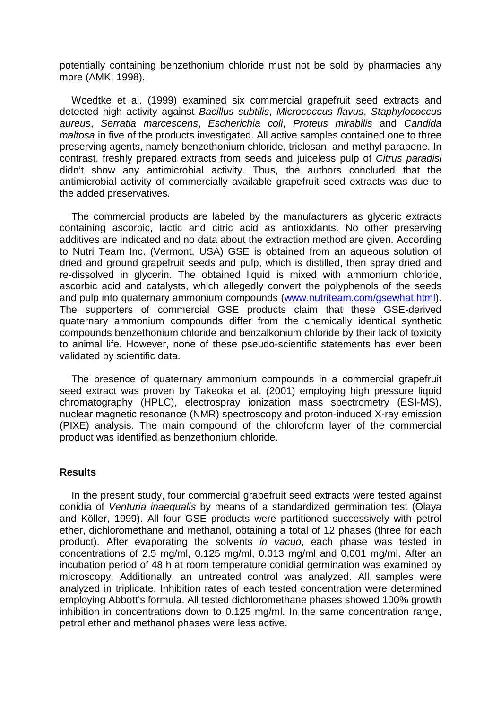potentially containing benzethonium chloride must not be sold by pharmacies any more (AMK, 1998).

Woedtke et al. (1999) examined six commercial grapefruit seed extracts and detected high activity against Bacillus subtilis, Micrococcus flavus, Staphylococcus aureus, Serratia marcescens, Escherichia coli, Proteus mirabilis and Candida maltosa in five of the products investigated. All active samples contained one to three preserving agents, namely benzethonium chloride, triclosan, and methyl parabene. In contrast, freshly prepared extracts from seeds and juiceless pulp of Citrus paradisi didn't show any antimicrobial activity. Thus, the authors concluded that the antimicrobial activity of commercially available grapefruit seed extracts was due to the added preservatives.

The commercial products are labeled by the manufacturers as glyceric extracts containing ascorbic, lactic and citric acid as antioxidants. No other preserving additives are indicated and no data about the extraction method are given. According to Nutri Team Inc. (Vermont, USA) GSE is obtained from an aqueous solution of dried and ground grapefruit seeds and pulp, which is distilled, then spray dried and re-dissolved in glycerin. The obtained liquid is mixed with ammonium chloride, ascorbic acid and catalysts, which allegedly convert the polyphenols of the seeds and pulp into quaternary ammonium compounds (www.nutriteam.com/gsewhat.html). The supporters of commercial GSE products claim that these GSE-derived quaternary ammonium compounds differ from the chemically identical synthetic compounds benzethonium chloride and benzalkonium chloride by their lack of toxicity to animal life. However, none of these pseudo-scientific statements has ever been validated by scientific data.

The presence of quaternary ammonium compounds in a commercial grapefruit seed extract was proven by Takeoka et al. (2001) employing high pressure liquid chromatography (HPLC), electrospray ionization mass spectrometry (ESI-MS), nuclear magnetic resonance (NMR) spectroscopy and proton-induced X-ray emission (PIXE) analysis. The main compound of the chloroform layer of the commercial product was identified as benzethonium chloride.

# **Results**

In the present study, four commercial grapefruit seed extracts were tested against conidia of Venturia inaequalis by means of a standardized germination test (Olaya and Köller, 1999). All four GSE products were partitioned successively with petrol ether, dichloromethane and methanol, obtaining a total of 12 phases (three for each product). After evaporating the solvents in vacuo, each phase was tested in concentrations of 2.5 mg/ml, 0.125 mg/ml, 0.013 mg/ml and 0.001 mg/ml. After an incubation period of 48 h at room temperature conidial germination was examined by microscopy. Additionally, an untreated control was analyzed. All samples were analyzed in triplicate. Inhibition rates of each tested concentration were determined employing Abbott's formula. All tested dichloromethane phases showed 100% growth inhibition in concentrations down to 0.125 mg/ml. In the same concentration range, petrol ether and methanol phases were less active.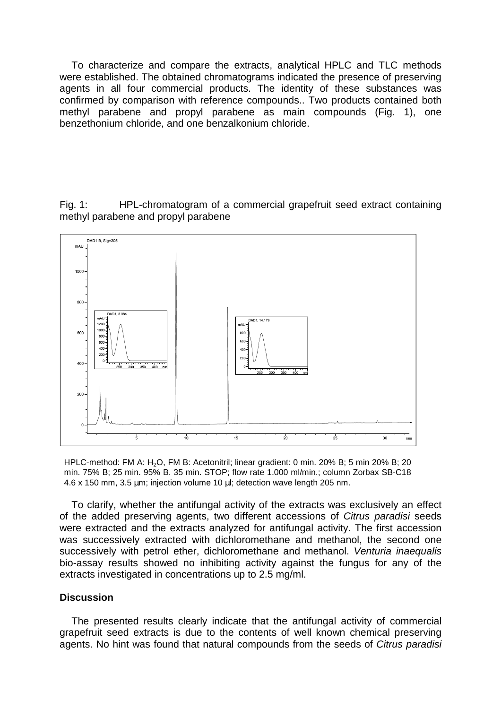To characterize and compare the extracts, analytical HPLC and TLC methods were established. The obtained chromatograms indicated the presence of preserving agents in all four commercial products. The identity of these substances was confirmed by comparison with reference compounds.. Two products contained both methyl parabene and propyl parabene as main compounds (Fig. 1), one benzethonium chloride, and one benzalkonium chloride.

Fig. 1: HPL-chromatogram of a commercial grapefruit seed extract containing methyl parabene and propyl parabene



HPLC-method: FM A: H<sub>2</sub>O, FM B: Acetonitril; linear gradient: 0 min. 20% B; 5 min 20% B; 20 min. 75% B; 25 min. 95% B. 35 min. STOP; flow rate 1.000 ml/min.; column Zorbax SB-C18 4.6 x 150 mm, 3.5 µm; injection volume 10 µl; detection wave length 205 nm.

To clarify, whether the antifungal activity of the extracts was exclusively an effect of the added preserving agents, two different accessions of Citrus paradisi seeds were extracted and the extracts analyzed for antifungal activity. The first accession was successively extracted with dichloromethane and methanol, the second one successively with petrol ether, dichloromethane and methanol. Venturia inaequalis bio-assay results showed no inhibiting activity against the fungus for any of the extracts investigated in concentrations up to 2.5 mg/ml.

# **Discussion**

The presented results clearly indicate that the antifungal activity of commercial grapefruit seed extracts is due to the contents of well known chemical preserving agents. No hint was found that natural compounds from the seeds of Citrus paradisi